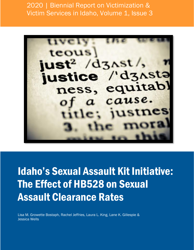2020 | Biennial Report on Victimization & Victim Services in Idaho, Volume 1, Issue 3



Idaho's Sexual Assault Kit Initiative: The Effect of HB528 on Sexual Assault Clearance Rates

Lisa M. Growette Bostaph, Rachel Jeffries, Laura L. King, Lane K. Gillespie & Jessica Wells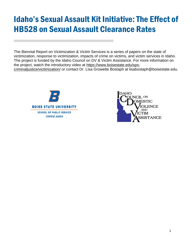# Idaho's Sexual Assault Kit Initiative: The Effect of HB528 on Sexual Assault Clearance Rates

The Biennial Report on Victimization & Victim Services is a series of papers on the state of victimization, response to victimization, impacts of crime on victims, and victim services in Idaho. The project is funded by the Idaho Council on DV & Victim Assistance. For more information on the project, watch the introductory video at [https://www.boisestate.edu/sps](https://www.boisestate.edu/sps-criminaljustice/victimization/)[criminaljustice/victimization/](https://www.boisestate.edu/sps-criminaljustice/victimization/) or contact Dr. Lisa Growette Bostaph at lisabostaph@boisestate.edu.



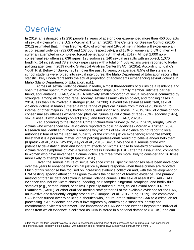## **Overview**

In 2019, an estimated 212,230 people 12 years of age or older experienced more than 450,000 acts of sexual violence<sup>1</sup> in the U.S. (Morgan & Truman, 2020). The Centers for Disease Control (2010-2012) estimated that, in their lifetime, 41% of women and 19% of men in Idaho will experience an act of sexual violence (232,000 and 107,000 respectively), and 18% of women and 6% of men will suffer an attempted or completed forced penetration (Smith et al., 2017). Almost 2,000 nonconsensual sex offenses, 636 rapes, 128 sodomies, 140 sexual assaults with an object, 1,070 fondling, 14 incest, and 78 statutory rape cases with a total of 4,008 victims were reported to Idaho policing agencies in 2019 (Idaho Statistical Analysis Center [ISAC], 2020a). According to Idaho's Youth Risk Behavior Survey (2019), over the past 10 years, on average, 8.5% of the state's high school students were forced into sexual intercourse; the Idaho Department of Education reports this statistic likely under-represents the actual proportion of adolescents experiencing sexual violence in Idaho (Idaho Department of Education, n.d.).

Across all sexual violence crimes in Idaho, almost three-fourths occur inside a residence and span the entire spectrum of victim-offender relationships (e.g., family member, intimate partner, friend, acquaintance) (ISAC, 2020a). A relatively small proportion of sexual violence is committed by strangers; among all reported rape, sodomy, sexual assault with an object, and fondling cases in 2019, less than 1% involved a stranger (ISAC, 2020b). Beyond the sexual assault itself, sexual violence victims in Idaho suffered a wide range of physical injuries from minor (e.g., bruising) to internal or other major injuries, broken bones, and unconsciousness. In 2019, 16% of victims of nonconsensual sex offenses experienced physical injuries as did victims of rape (28%), sodomy (19%), sexual assault with a foreign object (16%), and fondling (7%) (ISAC, 2020a).

Yet, according to the National Crime Victimization Survey (NCVS), in 2019, roughly 34% of victims who experienced sexual violence reported to policing agencies (Morgan & Truman, 2020). Research has identified numerous reasons why victims of sexual violence do not report to local authorities: fear of blame, reprisal, publicity, or the criminal justice experience; embarrassment; belief that it is a personal matter; or that policing professionals would not believe and/or help them (Kilpatrick et al., 2007; Wolitzky-Taylor et al., 2010). Sexual violence is a serious crime with potentially devastating short and long term effects on victims. Close to one-third of women rape victims report symptoms of Post-Traumatic Stress Disorder (PTSD) after the assault and, compared to women who have never been a crime victim, are three times more likely to consider and 16 times more likely to attempt suicide (Kilpatrick, n.d.).

Given the serious nature of sexual violence crimes, specific responses have been developed over the years to enhance the criminal justice system's response when these crimes are reported. Much of this response has focused on increasing evidence collection and, with the development of DNA testing, specific attention has gone towards the collection of forensic evidence. The primary method of forensic data collection in sexual violence crimes is the sexual assault kit (SAK). SAK evidence can include victim clothing, bedding, hair samples, fingernail scrapings, and bodily fluid samples (e.g., semen, blood, or saliva). Specially-trained nurses, called Sexual Assault Nurse Examiners (SANE), or other qualified medical staff gather all of the available evidence for the SAK, an invasive and frequently lengthy procedure (Campbell et al., 2017; King, 2019). The completed SAK is then turned over to policing authorities who, in turn, are to submit the SAK to a crime lab for processing. SAK evidence can assist investigators by confirming a suspect's identity and corroborating a victim's statement. The importance of SAK evidence extends beyond the individual cases from which evidence is collected as DNA is stored in a national database (CODIS) and can

<sup>&</sup>lt;sup>1</sup> In this report, the term 'sexual violence' is used to encompass a broad base of sex crimes codified in Idaho (e.g., non-consensual sex offenses, rape, sodomy, sexual assault with a foreign object, fondling, lewd & lascivious conduct with a minor).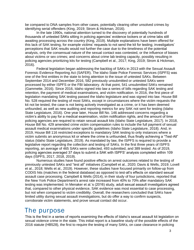be compared to DNA samples from other cases, potentially clearing other unsolved crimes by identifying serial offenders (King, 2019; Strom & Hickman, 2016).

In the late 1990s, national attention turned to the discovery of potentially hundreds of thousands of untested SAKs sitting in policing agencies' evidence lockers or at crime labs still awaiting processing across the country (King, 2019). Multiple explanations have been offered for this lack of SAK testing, for example victims' requests to not send the kit for testing; investigators' perceptions that SAK results would not further the case due to the timeliness of the potential analysis, only the consensual nature of the sexual contact was contested, or the influence of biases about victims or sex crimes; and concerns about crime lab testing capacity, possibly resulting in policing agencies prioritizing kits for testing (Campbell et al., 2017; King, 2019; Strom & Hickman, 2016).

Federal legislation began addressing the backlog of SAKs in 2013 with the Sexual Assault Forensic Evidence Reporting Act (SAFER). The Idaho State Police Forensic Services (ISPFS) was one of the first entities in the state to bring attention to the issue of untested SAKs. Between September 2014 and December 2016, 582 previously unsubmitted or untested SAKs were processed by either ISPFS or the FBI laboratory. At that point, 541 unsubmitted SAKs remained (Gammette, 2016). Since 2016, Idaho signed into law a series of bills regarding SAK testing and retention, the payment of medical examinations, and victim notification. In 2016, the first piece of legislation mandating SAK testing passed the Idaho legislature and was signed into law. House Bill No. 528 required the testing of most SAKs, except in circumstances where the victim requests the kit not be tested, the case is not being actively investigated as a crime, or it has been deemed unfounded, as well as new auditing and reporting metrics for any SAK not sent for testing (Idaho State Legislature, 2016). One year later, House Bill No. 146 addressed concerns regarding a victim's ability to pay for a medical examination, victim notification rights, and the amount of time policing agencies are required to retain sexual assault kits (Idaho State Legislature, 2017). In 2018, House Bill No. 429 amended crime victim compensation rules to include the full payment of sexual assault medical examinations under specific guidelines (Idaho State Legislature, 2018). And, in 2019, House Bill 116 restricted exceptions to mandatory SAK testing to only instances where a victim submits an anonymous kit or where the crime is unfounded, thus finally achieving a "Test-All" status (Idaho State Legislature, 2019). As mandated by law, the ISPFS is required to provide a legislative report regarding the collection and testing of SAKs. In the first three years of ISPFS reporting, an average of 465 SAKs were collected, 493 submitted, and 389 tested. As of 2019, policing agencies averaged 37 days to submit a SAK with ISPFS' analysis completed within 109 days (ISPFS, 2017, 2018, 2019).

Numerous studies have found positive effects on arrest outcomes related to the testing of previously untested SAKs and "test all" initiatives (Campbell et al., 2020; Davis & Wells, 2019; Lovell et al., 2018; Wells et al., 2019). However, these studies have focused primarily on follow-up from CODIS hits (matches in the federal database) as opposed to test-all's effects on standard sexual assault case processing. Campbell & Wells (2014), in their study of four jurisdictions, reported that the New York Police Department's arrest rate increased from 40% to 70% after mandatory SAK testing was implemented. In Menaker et al.'s (2016) study, adult sexual assault investigators agreed that, compared to other physical evidence, SAK evidence was most essential to case processing, but not when compared to victim credibility. Overall, the researchers concluded that SAKs have limited utility during sexual assault investigations, but do offer a way to confirm suspects, corroborate victim statements, and prove sexual contact did occur.

### The purpose

This is the first in a series of reports examining the effects of Idaho's sexual assault kit legislation on sexual violence crime in the state. This initial report is a baseline study of the possible effects of the 2016 statute (HB528), the first to require the testing of many SAKs, on case clearance in policing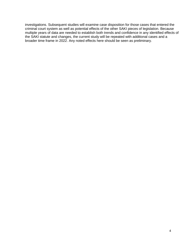investigations. Subsequent studies will examine case disposition for those cases that entered the criminal court system as well as potential effects of the other SAKI pieces of legislation. Because multiple years of data are needed to establish both trends and confidence in any identified effects of the SAKI statute and changes, the current study will be repeated with additional cases and a broader time frame in 2022. Any noted effects here should be seen as preliminary.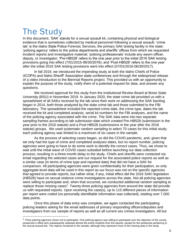# The Study

In this document, 'SAK' stands for a sexual assault kit, containing physical and biological evidence that is sometimes collected by medical personnel following a sexual assault; 'crime lab' is the Idaho State Police Forensic Services, the primary SAK testing facility in the state; 'policing agency' refers to the police departments and sheriffs' offices from which we requested incident reports and investigative material; 'policing professionals' include any sworn officer, deputy, or investigator; 'Pre-HB528' refers to the one year prior to the initial 2016 SAK testing provisions going into effect (7/01/2015-06/30/2016); and 'Post-HB528' refers to the one year after the initial 2016 SAK testing provisions went into effect (07/01/2016-06/30/2017).

In fall 2019, we introduced the impending study at both the Idaho Chiefs of Police (ICOPA) and Idaho Sheriff' Association state conferences and through the widespread release of a video introduction to the Biennial Reports project. This provided us with an opportunity to explain the purpose of the study, notify them of a potential request for data, and answer any questions.

We received approval for this study from the Institutional Review Board at Boise State University (BSU) in November 2019. In January 2020, the state crime lab provided us with a spreadsheet of all SAKs received by the lab since their work on addressing the SAK backlog began in 2014, both those analyzed by the state crime lab and those submitted to the FBI laboratory. The spreadsheet included the reported crime date, the crime type, dates the lab received the kit and completed analysis, serial kit numbers for the FBI analyses, and the name of the policing agency associated with the crime. The SAK data were into two separate sampling frames according to lab submission date which created Pre-HB528 (submission in the year prior to the 2016 statute) and a Post-HB528 (submissions in the year after the 2016 statute) groups. We used systematic random sampling to select 70 cases for this initial study; each policing agency was limited to a maximum of six cases in the sample.

As the process of selecting cases began, so did the COVID pandemic, and, given that we only had the type of crime and completed analyses dates, but no report number, policing agencies were going to have to do some work to identify the correct cases. Thus, we chose to wait until the initial wave of COVID cases subsided before launching our data collection process, resulting in a three-month delay to the study. Chiefs and sheriffs were contacted via email regarding the selected cases and our request for the associated police reports as well as a similar case (in terms of crime type and reported date) that did not have a SAK for comparison. All participating agencies were given confidentiality for their participation, so only aggregate-level data will be used in this report as our focus was not on the specific agencies that agreed to provide reports, but rather what, if any, initial effect did the 2016 SAKI legislation (HB528) have on sexual violence crime investigations across the state. Not all policing agencies were willing to participate and, when that occurred, we conducted additional random sampling to replace those missing cases<sup>2</sup>. Twenty-three policing agencies from around the state did provide us with requested reports. Upon receiving the case(s), up to 115 different pieces of information per report were coded (no personally identifiable information was collected), totaling over 7,000 data points.

Once this phase of data entry was complete, we again contacted the participating policing leaders asking for the email addresses of primary responding officers/deputies and investigators from our sample of reports as well as all current sex crimes investigators. All but

<sup>&</sup>lt;sup>2</sup> Thirty policing agencies chose not to participate. One policing agency was willing to participate over the objection of the county prosecutor's office who subsequently redacted almost the entire contents from the reports, except for the sentences pertaining to the sexual assault kits. The reports remained in the sample, although they represent most of the missing data in the study.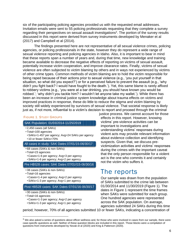six of the participating policing agencies provided us with the requested email addresses. Invitation emails were sent to 55 policing professionals requesting that they complete a survey regarding their perspectives on sexual assault investigations<sup>3</sup>. The portion of the survey results discussed in this report were derived from survey instruments developed by Menaker et al (2017) and Campbell et al (2014).

The findings presented here are not representative of all sexual violence crimes, policing agencies, or policing professionals in the state, however they do represent a wide range of sexual violence reporting and policing agencies in Idaho. Also, it is important to bear in mind that these reports span a number of years and, during that time, new knowledge and training became available to decrease the negative effects of reporting on victims of sexual assault, potentially increase victim cooperation, and improve clearance rates. Finally, victims of sexual violence are often subjected to victim blaming by others and in ways not experienced by victims of other crime types. Common methods of victim blaming are to hold the victim responsible for being raped because of their actions prior to sexual violence (e.g., 'you put yourself in that situation, so what did you expect?') or for a perceived failure to prevent the assault (e.g., 'why didn't you fight back? I would have fought to the death.'). Yet, this same blame is rarely affixed to robbery victims (e.g., 'you were at a bar drinking, you should have known you would be robbed.'; 'why didn't you tackle him? I wouldn't let anyone take my wallet.'). While there has been an increase in criminal justice system knowledge about trauma effects on victims and improved practices in response, these do little to reduce the stigma and victim blaming by society still widely experienced by survivors of sexual violence. That societal response is likely just as, if not more, influential to a victim's decision to report and proceed through the criminal

#### FIGURE 1. STUDY GROUPS

#### SAK Population: 01/03/2014-11/25/2019

- 2,450 cases (all SAKs)
- Total=100 agencies
- •SAKs=1-457 per agency; Avg=24 SAKs per agency
- 10 or fewer SAKs=70%

#### All cases in study: SAK Dates 07/01/15-06/30/17

• 68 cases (SAKs & non-SAKs)

- Total=23 agencies
- •Cases=1-6 per agency; Avg=3 per agency
- •SAKs=1-6 per agency; Avg=2 per agency

#### Pre HB528 cases: SAK Dates 07/01//15-06/30/16

- 38 cases (SAKs & non-SAKs)
- Total=16 agencies
- •Cases=1-4 per agency; Avg=2 per agency
- •SAKs=1-3 per agency; Avg=1 per agency

#### Post HB528 cases: SAK Dates 07/01/16-06/30/17

- 30 cases (SAKs & non-SAKs)
- Total=16 agencies
- •Cases=1-3 per agency; Avg=2 per agency
- •SAKs=1-3 per agency; Avg=1 per agency

justice process. We cannot account for those effects in this report. However, knowing victims' pre-violence activities can be important to investigations and understanding victims' responses during violent acts may provide relevant information about evidence collection and identifying suspects. Given that, we discuss previctimization activities and victims' responses during the crimes with the important caveat that the only person responsible for a violent act is the one who commits it and certainly not the victim who suffers it.

### The reports

Our sample was drawn from the population of SAKs submitted to the crime lab between 01/30/2014 and 11/30/2019 (Figure 1). The dates in Figure 1 represent the time frames when SAKs were submitted for each group. One hundred agencies were represented across the SAK population. On average, agencies submitted 24 SAKs during this time

period; however, 70% of all agencies submitted 10 or fewer SAKs, indicating a concentration of

 $3$  We also asked a series of questions about officer wellness and, for those who were involved in cases from our sample, there were case-specific questions as well. Neither of these question blocks are included in this report. Those blocks were a compilation of questions from instruments developed by Novak et al (2020) and King & Patterson (2020).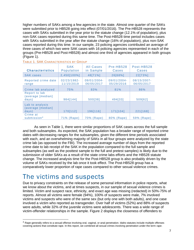higher numbers of SAKs among a few agencies in the state. Almost one quarter of the SAKs were submitted prior to HB528 going into effect (07/01/2016). The Pre-HB528 represents the cases with SAKs submitted in the year prior to the statute change (12.1% of population), plus non-SAK cases reported during this same time. The Post-HB528 time period includes cases with SAKs submitted in the year after the statute change (16% of population), plus non-SAK cases reported during this time. In our sample, 23 policing agencies contributed an average of three cases of which two were SAK cases with 16 policing agencies represented in each of the groups (Pre-HB528 and Post-HB528) and almost one third of agencies appeared in both groups (Figure 1).

| <b>Characteristics</b>                        | <b>SAK</b><br>Population  | All Cases<br>in Sample       | Pre-HB528<br>Cases        | Post-HB528<br>Cases       |
|-----------------------------------------------|---------------------------|------------------------------|---------------------------|---------------------------|
| <b>SAK cases</b>                              | 2,450[100%]               | 48[71%]                      | 26[68%]                   | 22[73%]                   |
| Reported crime date<br>range                  | 02/23/1982-<br>11/15/2019 | $09/01/2004 -$<br>06/05/2017 | 09/01/2004-<br>05/29/2016 | 08/15/2007-<br>06/05/2017 |
| Crime lab analyzed                            | 75%                       | 83%                          | 81%                       | 86%                       |
| Report to lab<br>(average [median]<br>days)   | 984[144]                  | 500[38]                      | 494[33]                   | 509[62]                   |
| Lab to analysis<br>(average [median]<br>days) | 170[112]                  | 196[116]                     | 171[104]                  | 221[168]                  |
| Crime at<br>submission <sup>4</sup>           | 71% (Rape)                | 70% (Rape)                   | 80% (Rape)                | 59% (Rape)                |

| TABLE 1. SAK CHARACTERISTICS BY GROUP |
|---------------------------------------|
|---------------------------------------|

As seen in Table 1, there were similar proportions of SAK cases across the full sample and both subsamples. As expected, the SAK population has a broader range of reported crime dates with decreasing ranges for the subsamples, given the different time periods associated with each, and an overwhelming majority of SAKs in all four groups were analyzed by the state crime lab (as opposed to the FBI). The increased average number of days from the reported crime date to lab receipt of the SAK in the population compared to the full sample and subsamples (as well as the posttest sample to the full and pretest samples) is likely due to the submission of older SAKs as a result of the state crime labs efforts and the HB528 statute change. The increased analysis time for the Post-HB528 group is also probably driven by the volume of SAKs received by the lab once it took effect. The Post-HB528 group has a comparatively lower proportion of rape cases compared to other sexual violence crimes.

### The victims and suspects

Due to privacy constraints on the release of some personal information in police reports, what we know about the victims, and at times suspects, in our sample of sexual violence crimes is limited. Victim and suspect race, ethnicity, and exact age was missing (redacted) in 50%-75% of reports. Almost all victims were female (94%), 100% of suspects were male, 7% involved victims and suspects who were of the same sex (but only one with both adults), and one case involved a victim who reported as transgender. Over half of victims (52%) and 88% of suspects were adults, while 32% of the juvenile victims were adolescents. There was a wide range of victim-offender relationships in the sample. Figure 2 displays the closeness of offenders to

<sup>4</sup> Rape generally refers to a sexual offense involving oral, vaginal, or anal penetration. Idaho statutes include multiple offenses covering actions that constitute rape. In this report, we combined all sexual crimes involving penetration under the term *rape*.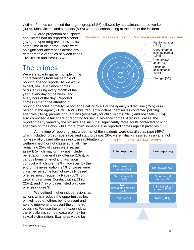victims. Friends comprised the largest group (31%) followed by acquaintance or co-worker (30%). Most victims and suspects (80%) were not cohabitating at the time of the incident.

A large proportion of suspects and victims had no reported alcohol (76%, 77%) or drug use (93%, 92%) at the time of the crime. There were no significant differences across any demographic variables between cases Pre-HB528 and Post-HB528.

## The crimes

We were able to gather multiple crime characteristics from our sample of policing agency reports. As we would expect, sexual violence crimes occurred during every month of the year, every day of the week, and every hour of the day. Reported crimes came to the attention of

### FIGURE 2. SPHERE OF CONTACT: VICTIM-OFFENDER RELATIONSHIP



policing agencies primarily via someone calling 9-1-1 or the agency's direct line (75%) or in person at the agency (16%). And, while frequently victims themselves contacted policing agencies (34%), parents or guardians (especially for child victims, 26%) and hospitals (11%) also comprised a fair share of reporting for sexual violence crimes. Across all cases, the reporting party varied by the victim's age such that significantly more adults contacted policing agencies on their own, while more often someone else reported crimes against juveniles.<sup>5</sup>

At the time of reporting, just under half of the incidents were classified as rape (49%) which included forced rape, rape, and statutory rape; 26% were initially classified as a variety of non-sexually-based offenses (e.g., assault/battery or

welfare check) or not classified at all. The remaining 25% of cases were sexual assault (which may or may not include penetration), general sex offense (16%), or various forms of lewd and lascivious conduct with children (9%). However, by the end of the investigation, 94% of cases were classified as some form of sexually based offense, most frequently Rape (60%) or Lewd & Lascivious Conduct with a Child (25%), and 74% of cases listed only one offense (Figure 3).

We defined 'higher risk behaviors' as actions which reduce the opportunities for, or likelihood of, others being present and able to intervene to prevent the crime from occurring. We use the term *higher* risk as there is always some measure of risk for sexual victimization. Examples would be





 $5 \times 2 = 10.946$ , p=.001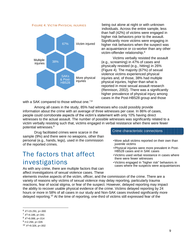FIGURE 4. VICTIM PHYSICAL INJURIES



with a SAK compared to those without one.<sup>7,8</sup>

being out alone at night or with unknown individuals. Across the entire sample, less than half (42%) of victims were engaged in higher risk behaviors prior to the assault. Significantly more victims were engaging in higher risk behaviors when the suspect was an acquaintance or co-worker than any other victim-offender relationship.<sup>6</sup>

Victims verbally resisted the assault (e.g., screaming) in 47% of cases and physically resisted (e.g., hitting) in 26% (Figure 4). The majority (67%) of sexual violence victims experienced physical injuries and, of those, 38% had multiple physical injuries, higher than what is reported in most sexual assault research (Rennison, 2002). There was a significantly higher prevalence of physical injury among cases in the Post-HB528 group and those

Among all cases in the study, 85% had witnesses who could possibly provide information about the crime with an average of three witnesses per case. In 86% of cases, people could corroborate aspects of the victim's statement with only 10% having direct witnesses to the actual assault. The number of possible witnesses was significantly related to a victim verbally resisting such that, victims engaged in verbal resistance when there were fewer potential witnesses.<sup>9</sup>

Drug facilitated crimes were scarce in the sample (9%) and there were no weapons, other than personal (e.g., hands, legs), used in the commission of the reported crimes.

## The factors that affect investigations

As with any crime, there are multiple factors that can affect investigations of sexual violence cases. These

### Crime characteristic connections

- •More adult victims reported on their own than juvenile victims
- •Physical injuries were more prevalent in Post-HB528 cases and in SAK cases
- •Victims used verbal resistance in cases where there were fewer witnesses
- •Victims engaged in "higher risk" behaviors in cases where the suspects were acquaintances

elements involve aspects of the victim, officer, and the commission of the crime. There are a variety of reasons why victims of sexual violence may delay reporting, particularly trauma reactions, fear of social stigma, or fear of the suspect. However, delayed reporting may impact the ability to recover usable physical evidence of the crime. Victims delayed reporting by 24 hours or more in 58% of all cases in our study and Non-SAK cases involved significantly more delayed reporting.<sup>10</sup> At the time of reporting, one-third of victims still expressed fear of the

<sup>6</sup> *X <sup>2</sup>*=15.291, p=.000

<sup>7</sup> *X <sup>2</sup>*=4.186, p=.041

<sup>8</sup> *X <sup>2</sup>*=6.088, p=.014

<sup>9</sup> *t*=2.294, p=.026

<sup>10</sup> *X <sup>2</sup>*=9.326, p=.002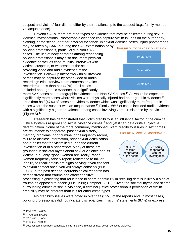suspect and victims' fear did not differ by their relationship to the suspect (e.g., family member vs. acquaintance).

Beyond SAKs, there are other types of evidence that may be collected during sexual violence investigations. Photographic evidence can capture victim injuries on the outer body, clothing, crime scene, or other physical evidence. In sexual violence cases, injury photographs may be taken by SANEs during the SAK examination or by

policing professionals, particularly in Non-SAK cases. The use of body cameras among responding policing professionals may also document physical evidence as well as capture initial interviews with victims, suspects, or witnesses at the scene, providing video and audio evidence of the investigation. Follow-up interviews with all involved parties may be captured by other video or audio recordings (via interview room cameras or voice recorders). Less than half (42%) of all cases included photographic evidence, but significantly



more SAK cases had photographic evidence than Non-SAK cases.<sup>11</sup> As would be expected, significantly more cases where victims were physically injured had photographic evidence.<sup>12</sup> Less than half (47%) of cases had video evidence which was significantly more frequent in cases where the suspect was an acquaintance.<sup>13</sup> Finally, 66% of cases included audio evidence with a significantly higher prevalence among cases involving verbal resistance by the victim (Figure 5). 14

Research has demonstrated that victim credibility is an influential factor in the criminal justice system's response to sexual violence crimes<sup>15</sup> and yet it can be a quite subjective determination. Some of the more commonly mentioned victim credibility issues in sex crimes

are reluctance to cooperate, past sexual history, memory problems, prior criminal or delinquency record, failure to disclose information, prior sexual victimization, and a belief that the victim lied during the current investigation or in a prior report. Many of these are grounded in societal myths about sexual violence and its victims (e.g., only "good" women are "really" raped; women frequently falsely report; reluctance to talk or inability to recall details are signs of lying; if you consent to sexual contact once, you will always consent) (Burt, 1980). In the past decade, neurobiological research has demonstrated that trauma can affect cognitive





processing, highlighting that reluctance to share or difficulty in recalling details is likely a sign of trauma as opposed to deceit (Burt, 1980; Campbell, 2012). Given the societal myths and stigma surrounding crimes of sexual violence, a criminal justice professional's perception of victim credibility may be different than it is for other crime types.

No credibility issues were noted in over half (52%) of the reports and, in most cases, policing professionals did not indicate discrepancies in victims' statements (87%) or express

<sup>11</sup> *X <sup>2</sup>*=7.721, p=.005

<sup>12</sup> *X <sup>2</sup>*=10.958, p=.001

<sup>13</sup> *X <sup>2</sup>*=7.020, p=.008

<sup>14</sup> *X <sup>2</sup>*=4.250, p=.039

<sup>&</sup>lt;sup>15</sup> Less research has been conducted on its influence in other crimes, except domestic violence.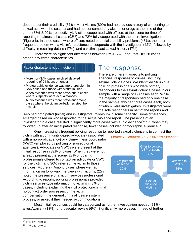doubt about their credibility (87%). Most victims (89%) had no previous history of consenting to sexual acts with the suspect and had not consumed any alcohol or drugs at the time of the crime (77% & 92%, respectively). Victims cooperated with officers at the scene (or time of reporting) in almost all cases (98%) and 72% fully cooperated with the entire investigation (Figure 6). In those cases where officers noted potential credibility problems (48%), the most frequent problem was a victim's reluctance to cooperate with the investigation (42%) followed by difficulty in recalling details (17%), and a victim's past sexual history (17%).

There were no significant differences between Pre-HB528 and Post-HB528 cases among any crime characteristics.

### Factor characteristic connections

- •More non-SAK cases involved delayed reporting of 24 hours or longer
- •Photographic evidence was more prevalent in SAK cases and those with victim injuries
- •Video evidence was more prevalent in cases where suspects were acquaintances
- •Audio evidence was more prevalent among cases where the victim verbally resisted the assault.

### The response

There are different aspects to policing agencies' responses to crimes, including sexual violence ones. We identified 56 unique policing professionals who were primary responders to the sexual violence cases in our sample with a range of 1-3 cases each. While the majority of responders had only one case in the sample, two had three cases each, both of whom were investigators. Investigators were the sole responders in half of the reports and

39% had both patrol (initial) and investigators (follow-up) in some capacity. Some differences emerged based on who responded to the sexual violence report. The presence of an investigator in a case resulted in significantly more cases with audio evidence<sup>16</sup> but, when they followed up after an initial patrol response, fewer cases included photographic evidence.<sup>17</sup>

One increasingly frequent policing response to reported sexual violence is to connect the

victim with a community-based advocate (associated with a non-profit agency) or victim-witness coordinator (VWC) (employed by policing or prosecutorial agencies). Advocates or VWCs were present at the initial response in 32% of cases. When they were not already present at the scene, 23% of policing professionals offered to contact an advocate or VWC for the victim and 36% referred the victim to those services (Figure 7). Among cases where we had information on follow-up interviews with victims, 22% noted the presence of a victim services professional. According to reports, policing professionals provided victim services-type information to victims in 8% of cases, including explaining the civil protection/criminal no contact order processes, crime victim compensation, the general criminal justice system process, or asked if they needed accommodations.



Most initial responses could be categorized as further investigation needed (71%), arrest/warrant (13%), or prosecutor review (6%). Significantly more cases in need of further

<sup>16</sup> *X <sup>2</sup>*=8.979, p=.003

<sup>17</sup> *X <sup>2</sup>*=4.120, p=.042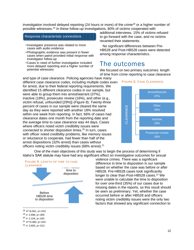investigation involved delayed reporting (24 hours or more) of the crime<sup>18</sup> or a higher number of possible witnesses.<sup>19</sup> In these follow-up investigations, 80% of victims cooperated with

### Response characteristic connections

- •Investigator presence was related to more cases with audio evidence
- •Photographic evidence was present in fewer cases when patrol provided initial response with investigator follow-up
- •Cases in need of further investigation included more delayed reporting and a higher number of potential witnesses

and type of case clearance. Policing agencies have many

different case clearance codes, including multiple codes even for arrest, due to their federal reporting requirements. We identified 15 different clearance codes in our sample, but were able to group them into arrest/warrant (37%), inactive (18%), prosecutor review (16%), and other (e.g., victim refusal, unfounded [29%]) (Figure 8). Twenty-three percent of cases in our sample were cleared the same day as they were reported with another 18% resolved within one week from reporting. In fact, 66% of cases had clearance dates one month from the reporting date and the average time to case clearance was 44 days. Cases where officers noted victim credibility issues were connected to shorter disposition times.<sup>20</sup> In turn, cases with officer noted credibility problems, like memory issues or reluctance to cooperate, had fewer than half of the arrest dispositions (32% arrest) than cases without officers noting victim credibility issues (68% arrest).<sup>21</sup>

additional interviews, 15% of victims refused to go forward with the case, and no victims recanted their statements.

No significant differences between Pre-HB528 and Post-HB528 cases were detected among response characteristics.

### The outcomes

We focused on two primary outcomes: length of time from crime reporting to case clearance



One of the main objectives of this study was to begin the process of determining if Idaho's SAK statute may have had any significant effect on investigative outcomes for sexual



<sup>18</sup> *X <sup>2</sup>*=6.651, p=.010

<sup>19</sup> *t*= 2.898, p=.005

 $^{20}$  *t*= 2.104, p=.042

<sup>21</sup> *X <sup>2</sup>*=5.083, p=.024

 $^{22}$  *t*= 2.605, p=.013

violence crimes. There was a significant difference in time to disposition in our sample based on whether the case was before or after HB528. Pre-HB528 cases took significantly longer to clear than Post-HB528 cases.<sup>22</sup> We were unable to calculate the time to disposition for over one-third (35%) of our cases due to missing dates in the reports, so this result should be seen as preliminary. Yet, whether the case occurred before or after HB528 and officers noting victim credibility issues were the only two factors that showed any significant connection to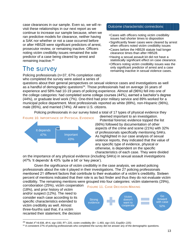case clearances in our sample. Even so, we will revisit these relationships in our next report as we continue to increase our sample because, when we ran predictive models for clearance, neither having a SAK nor whether or not a case occurred before or after HB528 were significant predictors of arrest, prosecutor review, or remaining inactive. Officers noting victim credibility issues remained the sole predictor of a case being cleared by arrest and remaining inactive.<sup>23</sup>

## The survey

Policing professionals (n=37, 67% completion rate) who completed the survey were asked a series of

### Outcome characteristic connections

- •Cases with officers noting victim credibility issues had shorter times to disposition
- •Significantly fewer cases were cleared by arrest when officers noted victim credibility issues
- •Cases before the HB528 statute had longer clearance times than after HB528.
- •Having a sexual assault kit did not have a statistically significant effect on case clearance.
- •Officers noting victim credibility issues was the only significant predictor of arrest and a case remaining inactive in sexual violence cases.

questions about their general perspectives on sexual violence cases and investigations as well as a handful of demographic questions<sup>24</sup>. Those professionals had on average 16 years of experience and 58% had 10-19 years of policing experience. Almost all (96%) fell into one of the college categories: had completed some college courses (44%), earned a bachelor's degree (44%), or graduate level work (7%). One-third had prior military service and 89% worked for a municipal police department. Most professionals reported as white (89%), non-Hispanic (96%), male (85%), and married (74%). All were U.S. citizens.

Policing professionals in our survey listed a total of 17 types of physical evidence they



deemed important to an investigation.

Potential forensic evidence topped the list (66%) followed by documentation of other aspects of the crime and scene (21%) with 32% of professionals specifically mentioning SAKs. As highlighted in our case analysis of sexual violence reports, they indicated that the value of any specific type of evidence, physical or otherwise, is dependent on the specific characteristics of each case. They were divided

on the importance of any physical evidence (including SAKs) in sexual assault investigations (47% 'it depends' & 43% 'quite a bit' or 'key piece').

Given the significance of victim credibility in the case analysis, we asked policing professionals about the role it played in their investigations. The 27 policing professionals mentioned 21 different factors that contribute to their evaluation of a victim's credibility. Sixteen percent of mentions indicated that their role is as fact finder and thus they do not evaluate victim credibility. The remaining mentions were grouped into four categories: victim statements (29%),

corroboration (25%), victim cooperation (18%), and prior history of victim and/or suspect (12%). The need to consider each case according to its specific characteristics extended to victim credibility as well. Almost three-fourths said that, if a victim recanted their statement, the decision





<sup>&</sup>lt;sup>23</sup> Model  $X^2$ =8.938, df=4, sig=.030, R<sup>2</sup>=.220, victim credibility (B= -1.493, sig=.015, Exp(B)=.225)

<sup>&</sup>lt;sup>24</sup> A consistent 27% of policing professionals who completed the survey did not answer any of the demographic questions.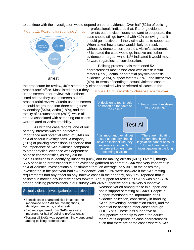to continue with the investigation would depend on other evidence. Over half (52%) of policing





professionals indicated that, if strong evidence exists but the victim does not want to cooperate, the case should still go forward with 41% believing that it should go inactive until the victim wishes to cooperate. When asked how a case would likely be resolved without evidence to corroborate a victim's statement, 45% stated the case would go inactive until other evidence emerged, while 41% indicated it would move forward regardless of corroboration.

Policing professionals mentioned 52 characteristics most associated with arrest: victim factors (39%), actual or potential physical/forensic evidence (29%), suspect factors (29%), and interviews (4%). In terms of sending a sexual violence case to

the prosecutor for review, 46% stated they either consulted with or referred all cases to the prosecutors' office. Most listed criteria they use to screen in for review, while others listed criteria they use to screen out of prosecutorial review. Criteria used to screen in could be grouped into three categories: evidentiary (54%), victim (18%), and the totality of circumstances (29%), while all criteria associated with screening out cases

As with the case reports, one of our primary interests was the perceived importance and potential effect of SAKs on sexual assault investigations. A majority (73%) of policing professionals reported that the importance of SAK evidence compared to other physical evidence was dependent on case characteristics, as they did for

were related to victim credibility.



SAK's usefulness in identifying suspects (60%) and for making arrests (60%). Overall, though, 55% of policing professionals felt the evidence gathered as part of a SAK was very important in sexual violence investigations but estimated that, on average, only 30% of the cases they investigated in the past year had SAK evidence. While 57% were unaware if the SAK testing requirements had any effect on any inactive cases in their agency, only 17% reported that it assisted in moving any inactive cases forward. Yet, support for testing all SAKs was high (72%) among policing professionals in our survey with 24% supportive and 48% very supportive.

### Sexual violence investigation perspectives

- •Specific case characteristics influence the importance of a SAK for investigations, identifying suspects, and arrests
- •Evidence gathered from SAKs was very important for half of policing professionals
- •Testing all SAKs was overwhelmingly supported among policing professionals

Reasons varied among those in support and not in support of testing all SAKs. People in support mentioned the importance of all evidence collection, consistency in handling SAKs, preventing identification errors, and the potential for assisting other cases through CODIS hits. Those less supportive or unsupportive primarily followed the earlier theme of "it depends on case characteristics" such that there are some cases where a SAK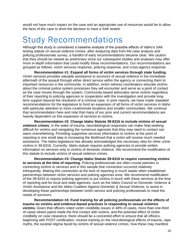would not have much impact on the case and an appropriate use of resources would be to allow the facts of the case to drive the decision to have a SAK tested.

# Study Recommendations

Although this study is considered a baseline analysis of the possible effects of Idaho's SAK testing statute on sexual violence crimes, after analyzing data from the case analysis and policing professionals survey, a handful of early recommendations became clear. We caution that they should be viewed as preliminary since our subsequent studies and analyses may offer more in-depth information that could modify these recommendations. Our recommendations are grouped as follows: victim services response, policing response, and cross-agency response.

**Recommendation #1: Expand all forms of victim services through state funding.**  Victim services provides valuable assistance to survivors of sexual violence in the immediate aftermath of the assault through either direct service within the agency or connecting them to important resources in the community. In addition, victim witness coordinators educate victims about the criminal justice system processes they will encounter and serve as a point of contact as the case moves through the system. Community-based advocates serve victims regardless of their reporting to policing agencies or cooperation with the investigation and provide longterm support beyond the resolution of a criminal case. In prior reports, we have made repeated recommendations for the legislature to fund an expansion of all forms of victim services in Idaho with particular attention to more rural/remote locations and smaller communities. We continue that recommendation here and note that many of our prior and current recommendations are heavily dependent on this expansion of services to victims.

**Recommendation #2: Change Idaho Statute 39-6316 to include victims of sexual violence crimes.** In the wake of trauma, neurobiological responses can make help-seeking difficult for victims and navigating the numerous agencies that they may need to contact can seem overwhelming. Providing supportive services information to victims at the point of reporting is one small step in increasing the likelihood that a victim will receive much needed assistance. The Idaho legislature has already acknowledged this necessary step for other crime victims in 39-6316. Currently, Idaho statute requires policing agencies to provide written information on services only to victims of domestic violence. We recommend the modification of this statute to include victims of sexual violence crimes.

**Recommendation #3: Change Idaho Statute 39-6316 to require connecting victims to services at the time of reporting.** Policing professionals are often crucial partners in connecting victims to services and in this sample that connection occurred relatively infrequently. Making this connection at the time of reporting is much easier when established partnerships between victim services and policing agencies exist. We recommend modification of the 39-6316 to require policing agencies to put victims in touch with these services at the time of reporting and for local and state agencies, such as the Idaho Council on Domestic Violence & Victim Assistance and the Idaho Coalition Against Domestic & Sexual Violence, to assist in developing these partnerships between victim service and policing professionals to meet the needs of survivors.

**Recommendation #4: Fund training for all policing professionals on the effects of trauma on victims and evidence-based practices in responding to sexual violence victims.** Given that officers noted victim credibility issues in 48% of cases, more than one-third of cases where patrol made the first contact with victims, and the potential effect of victim credibility on case clearance, there should be a concerted effort to ensure that all officers, beginning with POST certification, receive training on the neurobiological effects of trauma, rape myths, the societal stigma faced by victims of sexual violence crimes, how these may manifest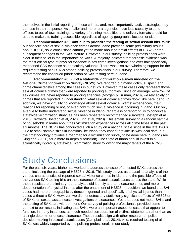themselves in the initial reporting of these crimes, and, most importantly, active strategies they can use in their response. As smaller and more rural agencies have less capacity to send officers to out-of-town trainings, a variety of training modalities and delivery formats should be used to make this training accessible regardless of agency geographic location or size.

**Recommendation #5: Continue to prioritize the testing of sexual assault kits.** While our analysis here of sexual violence crimes across Idaho provided some preliminary results about HB528, solid conclusions cannot yet be made about potential effects of HB528 or the subsequent changes to the SAK statute. However, in our survey, policing professionals were clear in their belief in the importance of SAKs. A majority indicated that forensic evidence was the most critical type of physical evidence in sex crime investigations and over half specifically mentioned SAK evidence as particularly valuable. There was also overwhelming support for the required testing of all SAKs among policing professionals in our survey. Therefore, we recommend the continued prioritization of SAK testing here in Idaho.

**Recommendation #6: Fund a statewide victimization survey modeled on the National Crime Victimization Survey (NCVS).** We reported out many victim, suspect, and crime characteristics among the cases in our study. However, these cases only represent those sexual violence crimes that were reported to policing authorities. Since on average 59%-75% of sex crimes are never reported to policing agencies (Morgan & Truman, 2020), we rely solely on crimes that are reported in understanding what sexual violence crimes "look" like here Idaho. In addition, we have virtually no knowledge about sexual violence victims' experiences, their reasons for reporting or not, or even how much sexual violence is occurring in Idaho. Our only avenue to better understand sexual violence in Idaho, regardless of reporting, is to conduct a statewide victimization study, as has been repeatedly recommended (Growette Bostaph et al, 2015; Growette Bostaph et al, 2020; King et al, 2020). This entails surveying a random sample of households in Idaho about their victimization experiences across all crime types in the past six months. The NCVS has conducted such a study on a national scale since in the late 1960s. Due to small sample sizes in locations like Idaho, they cannot provide us with local data, but their methodology provides a roadmap for a victimization survey to be done here in Idaho (see King et al (2020) for a more in-depth discussion). The State of Idaho should invest in a scientifically rigorous, statewide victimization study following the major tenets of the NCVS.

# Study Conclusions

For the past six years, Idaho has worked to address the issue of untested SAKs across the state, including the passage of HB528 in 2016. This study serves as a baseline analysis of the various characteristics of reported sexual violence crimes in Idaho and the possible effects of the various SAK testing bills on the clearance of sexual assault cases across the state. While these results are preliminary, our analyses did identify shorter clearance times and more documentation of physical injuries after the enactment of HB528. In addition, we found that SAK cases had more photographic evidence in general and specifically of physical injuries than cases without a SAK. However, we did not detect any statistically significant effects of HB528 or of SAKs on sexual assault case investigations or clearances. Yet, that does not mean SAKs and the testing of SAKs are without merit. Our survey of policing professionals provided some context to our results, indicating that SAKs were an important aspect of cases that appear to function, in many instances, as much needed corroboration of victims' statements rather than as a single determiner of case clearance. These results align with other research on police decision-making in sexual assault cases (Campbell et al, 2014). And, required testing of all SAKs was widely supported by the policing professionals in our study.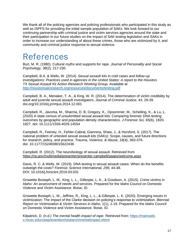We thank all of the policing agencies and policing professionals who participated in this study as well as ISPFS for providing the initial sample population of SAKs. We look forward to our continuing partnership with criminal justice and victim services agencies around the state and their participation in our future studies on the impact of SAK testing legislation and SAKs in order to increase our understanding of about these crimes, those who are victimized by it, and community and criminal justice response to sexual violence.

# References

Burt, M. R. (1980). Cultural myths and supports for rape. *Journal of Personality and Social Psychology, 38*(2)*,* 217-230.

Campbell, B.A. & Wells, W. (2014). *Sexual assault kits in cold cases and follow-up investigations: Practices used in agencies in the United States: A report to the Houston, TX Sexual Assault Kit Action-Research Working Group*. Available at <http://houstonsakresearch.org/resources/documents/testing.pdf>

Campbell, B. A., Menaker, T. A., & King, W. R. (2014). The determination of victim credibility by adult and juvenile sexual assault investigators. *Journal of Criminal Justice, 43*, 29-39. [doi.org/10.1016/j.jcrimjus.2014.12.001](https://doi.org/10.1016/j.jcrimjus.2014.12.001)

Campbell, R., Javorka, M., Sharma, D. B, Gregory, K., Opsommer, M., Schelling, K., & Lu, L. (2020) A state census of unsubmitted sexual assault kits: Comparing forensic DNA testing outcomes by geographic and population density characteristics. *J Forensic Sci, 65*(6), 1820- 1827. doi: 10.1111/1556-4029.14554

Campbell, R., Feeney, H., Fehler-Cabral, Giannina, Shaw, J., & Horsford, S. (2017). The national problem of untested sexual assault kits (SAKs): Scope, causes, and future directions for research, policy, and practice. *Trauma, Violence, & Abuse, 18(4)*, 363-376. doi: 10.1177/1524838015622436

Campbell, R. (2012). The neurobiology of sexual assault. Retrieved from <https://nij.gov/multimedia/presenter/presenter-campbell/pages/welcome.aspx>

Davis, R. C. & Wells, W. (2019). DNA testing in sexual assault cases: When do the benefits outweigh the costs? *Forensic Science International, 299,* 44-48. DOI: [10.1016/j.forsciint.2019.03.031](https://doi.org/10.1016/j.forsciint.2019.03.031)

Growette Bostaph, L. M., King, L. L., Gillespie, L. K., & Goodson, A. (2015). *Crime victims in Idaho: An assessment of needs and services.* Prepared for the Idaho Council on Domestic Violence and Victim Assistance. Boise, ID.

Growette Bostaph, L. M., Jeffries, R., King, L. L., & Gillespie, L. K. (2020). Emerging issues in victimization: The impact of the *Clarke* decision on policing's response to victimization*. Biennial Report on Victimization & Victim Services in Idaho,* 1(1), 1-19. Prepared for the Idaho Council on Domestic Violence and Victim Assistance. Boise, ID.

Kilpatrick, D. (n.d.) *The mental health impact of rape.* Retrieved from: [https://mainweb](https://mainweb-v.musc.edu/vawprevention/research/mentalimpact.shtml)[v.musc.edu/vawprevention/research/mentalimpact.shtml](https://mainweb-v.musc.edu/vawprevention/research/mentalimpact.shtml)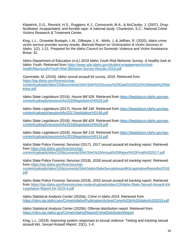Kilpatrick, D.G., Resnick, H.S., Ruggiero, K.J., Conoscenti, M.A., & McCauley, J. (2007). *Drugfacilitated, incapacitated, and forcible rape: A national study*. Charleston, S.C.: National Crime Victims Research & Treatment Center.

King, L.L., Growette Bostaph, L.M., Gillespie, L.K., Wells, J. & Jeffries, R. (2020). Idaho crime victim service provider survey results. *Biennial Report on Victimization & Victim Services in Idaho,* 1(2), 1-21. Prepared for the Idaho Council on Domestic Violence and Victim Assistance. Boise, ID.

Idaho Department of Education (n.d.) *2019 Idaho Youth Risk Behavior Survey. A healthy look at Idaho Youth*. Retrieved from [https://www.sde.idaho.gov/student-engagement/school](https://www.sde.idaho.gov/student-engagement/school-health/files/youth/Youth-Risk-Behavior-Survey-Results-2019.pdf)[health/files/youth/Youth-Risk-Behavior-Survey-Results-2019.pdf](https://www.sde.idaho.gov/student-engagement/school-health/files/youth/Youth-Risk-Behavior-Survey-Results-2019.pdf)

Gammette, M. (2016). *Idaho sexual assault kit survey, 2016*. Retrieved from [https://isp.idaho.gov/forensics/wp](https://isp.idaho.gov/forensics/wp-content/uploads/sites/10/documents/SAK/SAK%20Survey%20Data%202016%20Media%20Release.pdf)[content/uploads/sites/10/documents/SAK/SAK%20Survey%20Data%202016%20Media%20Rel](https://isp.idaho.gov/forensics/wp-content/uploads/sites/10/documents/SAK/SAK%20Survey%20Data%202016%20Media%20Release.pdf) [ease.pdf](https://isp.idaho.gov/forensics/wp-content/uploads/sites/10/documents/SAK/SAK%20Survey%20Data%202016%20Media%20Release.pdf)

Idaho State Legislature (2016). *House Bill 528*. Retrieved from [https://legislature.idaho.gov/wp](https://legislature.idaho.gov/wp-content/uploads/sessioninfo/2020/legislation/H0528.pdf)[content/uploads/sessioninfo/2020/legislation/H0528.pdf](https://legislature.idaho.gov/wp-content/uploads/sessioninfo/2020/legislation/H0528.pdf)

Idaho State Legislature (2017). *House Bill 146*. Retrieved from [https://legislature.idaho.gov/wp](https://legislature.idaho.gov/wp-content/uploads/sessioninfo/2017/legislation/H0146.pdf)[content/uploads/sessioninfo/2017/legislation/H0146.pdf](https://legislature.idaho.gov/wp-content/uploads/sessioninfo/2017/legislation/H0146.pdf)

Idaho State Legislature (2018). *House Bill 429*. Retrieved from [https://legislature.idaho.gov/wp](https://legislature.idaho.gov/wp-content/uploads/sessioninfo/2018/legislation/H0429.pdf)[content/uploads/sessioninfo/2018/legislation/H0429.pdf](https://legislature.idaho.gov/wp-content/uploads/sessioninfo/2018/legislation/H0429.pdf)

Idaho State Legislature (2019). *House Bill 116*. Retrieved from [https://legislature.idaho.gov/wp](https://legislature.idaho.gov/wp-content/uploads/sessioninfo/2019/legislation/H0116.pdf)[content/uploads/sessioninfo/2019/legislation/H0116.pdf](https://legislature.idaho.gov/wp-content/uploads/sessioninfo/2019/legislation/H0116.pdf)

Idaho State Police Forensic Services (2017). *2017 sexual assault kit tracking report*. Retrieved from [https://isp.idaho.gov/forensics/wp](https://isp.idaho.gov/forensics/wp-content/uploads/sites/10/documents/SAK/SAK%20Annual%20Report%20Final%202017.pdf)[content/uploads/sites/10/documents/SAK/SAK%20Annual%20Report%20Final%202017.pdf](https://isp.idaho.gov/forensics/wp-content/uploads/sites/10/documents/SAK/SAK%20Annual%20Report%20Final%202017.pdf)

Idaho State Police Forensic Services (2018). *2018 sexual assault kit tracking report*. Retrieved from [https://isp.idaho.gov/forensics/wp](https://isp.idaho.gov/forensics/wp-content/uploads/sites/10/documents/SAK/IdahoStateSexualAssaultKitLegislativeReportfor2018.pdf)[content/uploads/sites/10/documents/SAK/IdahoStateSexualAssaultKitLegislativeReportfor2018.](https://isp.idaho.gov/forensics/wp-content/uploads/sites/10/documents/SAK/IdahoStateSexualAssaultKitLegislativeReportfor2018.pdf) [pdf](https://isp.idaho.gov/forensics/wp-content/uploads/sites/10/documents/SAK/IdahoStateSexualAssaultKitLegislativeReportfor2018.pdf)

Idaho State Police Forensic Services (2019). *2019 sexual assault kit tracking report*. Retrieved from [https://isp.idaho.gov/forensics/wp-content/uploads/sites/10/Idaho-State-Sexual-Assault-Kit-](https://isp.idaho.gov/forensics/wp-content/uploads/sites/10/Idaho-State-Sexual-Assault-Kit-Legislative-Report-for-2019-4.pdf)[Legislative-Report-for-2019-4.pdf](https://isp.idaho.gov/forensics/wp-content/uploads/sites/10/Idaho-State-Sexual-Assault-Kit-Legislative-Report-for-2019-4.pdf)

Idaho Statistical Analysis Center (2020a). *Crime in Idaho 2019*. Retrieved from <https://nibrs.isp.idaho.gov/CrimeInIdaho/Publication/Active/Crime%20in%20Idaho%202019.pdf>

Idaho Statistical Analysis Center (2020b). Offense distribution report. Retrieved from <https://nibrs.isp.idaho.gov/CrimeInIdaho/Report/CrimeDistributionReport>

King, L.L. (2019). Improving system responses to sexual violence: Testing and tracking sexual assault kits. *Sexual Assault Report*, 23(1), 1-4.